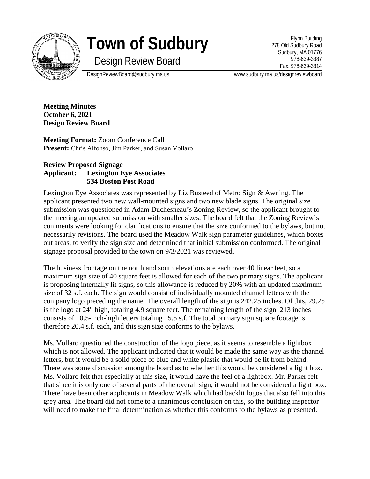

# **Town of Sudbury**

Design Review Board

Flynn Building 278 Old Sudbury Road Sudbury, MA 01776 978-639-3387 Fax: 978-639-3314

DesignReviewBoard@sudbury.ma.us www.sudbury.ma.us/designreviewboard

**Meeting Minutes October 6, 2021 Design Review Board**

**Meeting Format:** Zoom Conference Call **Present:** Chris Alfonso, Jim Parker, and Susan Vollaro

## **Review Proposed Signage Applicant: Lexington Eye Associates 534 Boston Post Road**

Lexington Eye Associates was represented by Liz Busteed of Metro Sign & Awning. The applicant presented two new wall-mounted signs and two new blade signs. The original size submission was questioned in Adam Duchesneau's Zoning Review, so the applicant brought to the meeting an updated submission with smaller sizes. The board felt that the Zoning Review's comments were looking for clarifications to ensure that the size conformed to the bylaws, but not necessarily revisions. The board used the Meadow Walk sign parameter guidelines, which boxes out areas, to verify the sign size and determined that initial submission conformed. The original signage proposal provided to the town on 9/3/2021 was reviewed.

The business frontage on the north and south elevations are each over 40 linear feet, so a maximum sign size of 40 square feet is allowed for each of the two primary signs. The applicant is proposing internally lit signs, so this allowance is reduced by 20% with an updated maximum size of 32 s.f. each. The sign would consist of individually mounted channel letters with the company logo preceding the name. The overall length of the sign is 242.25 inches. Of this, 29.25 is the logo at 24" high, totaling 4.9 square feet. The remaining length of the sign, 213 inches consists of 10.5-inch-high letters totaling 15.5 s.f. The total primary sign square footage is therefore 20.4 s.f. each, and this sign size conforms to the bylaws.

Ms. Vollaro questioned the construction of the logo piece, as it seems to resemble a lightbox which is not allowed. The applicant indicated that it would be made the same way as the channel letters, but it would be a solid piece of blue and white plastic that would be lit from behind. There was some discussion among the board as to whether this would be considered a light box. Ms. Vollaro felt that especially at this size, it would have the feel of a lightbox. Mr. Parker felt that since it is only one of several parts of the overall sign, it would not be considered a light box. There have been other applicants in Meadow Walk which had backlit logos that also fell into this grey area. The board did not come to a unanimous conclusion on this, so the building inspector will need to make the final determination as whether this conforms to the bylaws as presented.